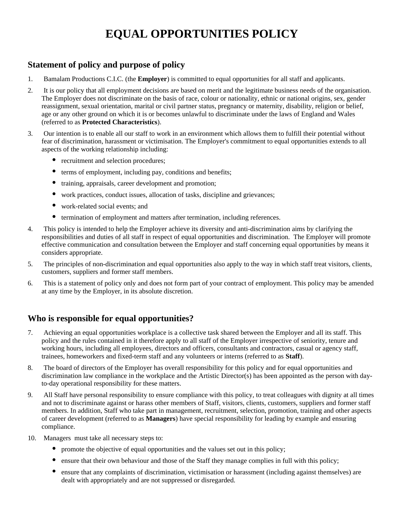# **EQUAL OPPORTUNITIES POLICY**

# **Statement of policy and purpose of policy**

- 1. Bamalam Productions C.I.C. (the **Employer**) is committed to equal opportunities for all staff and applicants.
- 2. It is our policy that all employment decisions are based on merit and the legitimate business needs of the organisation. The Employer does not discriminate on the basis of race, colour or nationality, ethnic or national origins, sex, gender reassignment, sexual orientation, marital or civil partner status, pregnancy or maternity, disability, religion or belief, age or any other ground on which it is or becomes unlawful to discriminate under the laws of England and Wales (referred to as **Protected Characteristics**).
- 3. Our intention is to enable all our staff to work in an environment which allows them to fulfill their potential without fear of discrimination, harassment or victimisation. The Employer's commitment to equal opportunities extends to all aspects of the working relationship including:
	- recruitment and selection procedures;
	- $\bullet$ terms of employment, including pay, conditions and benefits;
	- $\bullet$ training, appraisals, career development and promotion;
	- $\bullet$ work practices, conduct issues, allocation of tasks, discipline and grievances;
	- $\bullet$ work-related social events; and
	- $\bullet$ termination of employment and matters after termination, including references.
- 4. This policy is intended to help the Employer achieve its diversity and anti-discrimination aims by clarifying the responsibilities and duties of all staff in respect of equal opportunities and discrimination. The Employer will promote effective communication and consultation between the Employer and staff concerning equal opportunities by means it considers appropriate.
- 5. The principles of non-discrimination and equal opportunities also apply to the way in which staff treat visitors, clients, customers, suppliers and former staff members.
- 6. This is a statement of policy only and does not form part of your contract of employment. This policy may be amended at any time by the Employer, in its absolute discretion.

# **Who is responsible for equal opportunities?**

- 7. Achieving an equal opportunities workplace is a collective task shared between the Employer and all its staff. This policy and the rules contained in it therefore apply to all staff of the Employer irrespective of seniority, tenure and working hours, including all employees, directors and officers, consultants and contractors, casual or agency staff, trainees, homeworkers and fixed-term staff and any volunteers or interns (referred to as **Staff**).
- 8. The board of directors of the Employer has overall responsibility for this policy and for equal opportunities and discrimination law compliance in the workplace and the Artistic Director(s) has been appointed as the person with dayto-day operational responsibility for these matters.
- 9. All Staff have personal responsibility to ensure compliance with this policy, to treat colleagues with dignity at all times and not to discriminate against or harass other members of Staff, visitors, clients, customers, suppliers and former staff members. In addition, Staff who take part in management, recruitment, selection, promotion, training and other aspects of career development (referred to as **Managers**) have special responsibility for leading by example and ensuring compliance.
- 10. Managers must take all necessary steps to:
	- promote the objective of equal opportunities and the values set out in this policy;
	- ensure that their own behaviour and those of the Staff they manage complies in full with this policy;
	- $\bullet$ ensure that any complaints of discrimination, victimisation or harassment (including against themselves) are dealt with appropriately and are not suppressed or disregarded.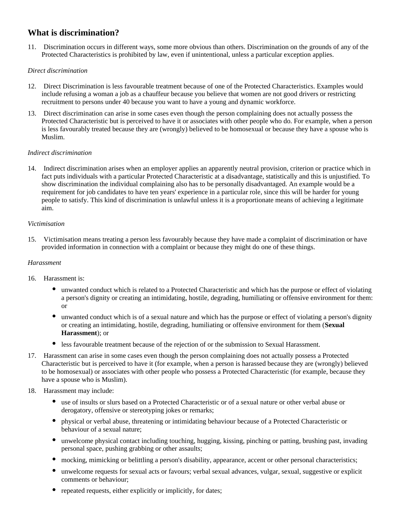# **What is discrimination?**

11. Discrimination occurs in different ways, some more obvious than others. Discrimination on the grounds of any of the Protected Characteristics is prohibited by law, even if unintentional, unless a particular exception applies.

### *Direct discrimination*

- 12. Direct Discrimination is less favourable treatment because of one of the Protected Characteristics. Examples would include refusing a woman a job as a chauffeur because you believe that women are not good drivers or restricting recruitment to persons under 40 because you want to have a young and dynamic workforce.
- 13. Direct discrimination can arise in some cases even though the person complaining does not actually possess the Protected Characteristic but is perceived to have it or associates with other people who do. For example, when a person is less favourably treated because they are (wrongly) believed to be homosexual or because they have a spouse who is Muslim.

### *Indirect discrimination*

14. Indirect discrimination arises when an employer applies an apparently neutral provision, criterion or practice which in fact puts individuals with a particular Protected Characteristic at a disadvantage, statistically and this is unjustified. To show discrimination the individual complaining also has to be personally disadvantaged. An example would be a requirement for job candidates to have ten years' experience in a particular role, since this will be harder for young people to satisfy. This kind of discrimination is unlawful unless it is a proportionate means of achieving a legitimate aim.

### *Victimisation*

15. Victimisation means treating a person less favourably because they have made a complaint of discrimination or have provided information in connection with a complaint or because they might do one of these things.

### *Harassment*

- 16. Harassment is:
	- unwanted conduct which is related to a Protected Characteristic and which has the purpose or effect of violating a person's dignity or creating an intimidating, hostile, degrading, humiliating or offensive environment for them: or
	- $\bullet$ unwanted conduct which is of a sexual nature and which has the purpose or effect of violating a person's dignity or creating an intimidating, hostile, degrading, humiliating or offensive environment for them (**Sexual Harassment**); or
	- less favourable treatment because of the rejection of or the submission to Sexual Harassment.
- 17. Harassment can arise in some cases even though the person complaining does not actually possess a Protected Characteristic but is perceived to have it (for example, when a person is harassed because they are (wrongly) believed to be homosexual) or associates with other people who possess a Protected Characteristic (for example, because they have a spouse who is Muslim).
- 18. Harassment may include:
	- use of insults or slurs based on a Protected Characteristic or of a sexual nature or other verbal abuse or derogatory, offensive or stereotyping jokes or remarks;
	- $\bullet$ physical or verbal abuse, threatening or intimidating behaviour because of a Protected Characteristic or behaviour of a sexual nature;
	- unwelcome physical contact including touching, hugging, kissing, pinching or patting, brushing past, invading personal space, pushing grabbing or other assaults;
	- mocking, mimicking or belittling a person's disability, appearance, accent or other personal characteristics;
	- $\bullet$ unwelcome requests for sexual acts or favours; verbal sexual advances, vulgar, sexual, suggestive or explicit comments or behaviour;
	- repeated requests, either explicitly or implicitly, for dates;  $\bullet$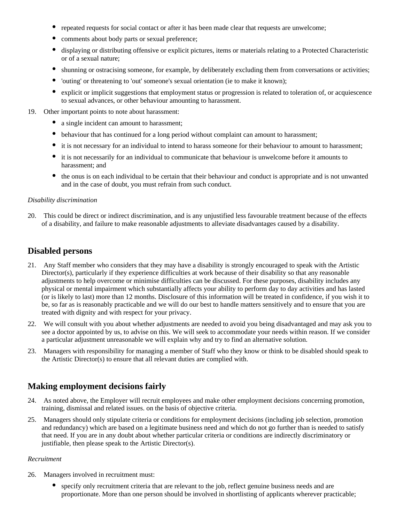- $\bullet$ repeated requests for social contact or after it has been made clear that requests are unwelcome;
- $\bullet$ comments about body parts or sexual preference;
- $\bullet$ displaying or distributing offensive or explicit pictures, items or materials relating to a Protected Characteristic or of a sexual nature;
- $\bullet$ shunning or ostracising someone, for example, by deliberately excluding them from conversations or activities;
- $\bullet$ 'outing' or threatening to 'out' someone's sexual orientation (ie to make it known);
- $\bullet$ explicit or implicit suggestions that employment status or progression is related to toleration of, or acquiescence to sexual advances, or other behaviour amounting to harassment.
- 19. Other important points to note about harassment:
	- a single incident can amount to harassment;
	- $\bullet$ behaviour that has continued for a long period without complaint can amount to harassment;
	- it is not necessary for an individual to intend to harass someone for their behaviour to amount to harassment;
	- $\bullet$ it is not necessarily for an individual to communicate that behaviour is unwelcome before it amounts to harassment; and
	- the onus is on each individual to be certain that their behaviour and conduct is appropriate and is not unwanted and in the case of doubt, you must refrain from such conduct.

#### *Disability discrimination*

20. This could be direct or indirect discrimination, and is any unjustified less favourable treatment because of the effects of a disability, and failure to make reasonable adjustments to alleviate disadvantages caused by a disability.

### **Disabled persons**

- 21. Any Staff member who considers that they may have a disability is strongly encouraged to speak with the Artistic Director(s), particularly if they experience difficulties at work because of their disability so that any reasonable adjustments to help overcome or minimise difficulties can be discussed. For these purposes, disability includes any physical or mental impairment which substantially affects your ability to perform day to day activities and has lasted (or is likely to last) more than 12 months. Disclosure of this information will be treated in confidence, if you wish it to be, so far as is reasonably practicable and we will do our best to handle matters sensitively and to ensure that you are treated with dignity and with respect for your privacy.
- 22. We will consult with you about whether adjustments are needed to avoid you being disadvantaged and may ask you to see a doctor appointed by us, to advise on this. We will seek to accommodate your needs within reason. If we consider a particular adjustment unreasonable we will explain why and try to find an alternative solution.
- 23. Managers with responsibility for managing a member of Staff who they know or think to be disabled should speak to the Artistic Director(s) to ensure that all relevant duties are complied with.

# **Making employment decisions fairly**

- 24. As noted above, the Employer will recruit employees and make other employment decisions concerning promotion, training, dismissal and related issues. on the basis of objective criteria.
- 25. Managers should only stipulate criteria or conditions for employment decisions (including job selection, promotion and redundancy) which are based on a legitimate business need and which do not go further than is needed to satisfy that need. If you are in any doubt about whether particular criteria or conditions are indirectly discriminatory or justifiable, then please speak to the Artistic Director(s).

#### *Recruitment*

- 26. Managers involved in recruitment must:
	- $\bullet$ specify only recruitment criteria that are relevant to the job, reflect genuine business needs and are proportionate. More than one person should be involved in shortlisting of applicants wherever practicable;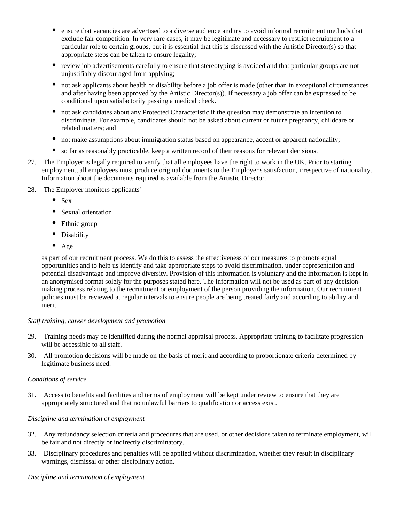- $\bullet$ ensure that vacancies are advertised to a diverse audience and try to avoid informal recruitment methods that exclude fair competition. In very rare cases, it may be legitimate and necessary to restrict recruitment to a particular role to certain groups, but it is essential that this is discussed with the Artistic Director(s) so that appropriate steps can be taken to ensure legality;
- $\bullet$ review job advertisements carefully to ensure that stereotyping is avoided and that particular groups are not unjustifiably discouraged from applying;
- $\bullet$ not ask applicants about health or disability before a job offer is made (other than in exceptional circumstances and after having been approved by the Artistic Director(s)). If necessary a job offer can be expressed to be conditional upon satisfactorily passing a medical check.
- $\bullet$ not ask candidates about any Protected Characteristic if the question may demonstrate an intention to discriminate. For example, candidates should not be asked about current or future pregnancy, childcare or related matters; and
- $\bullet$ not make assumptions about immigration status based on appearance, accent or apparent nationality;
- so far as reasonably practicable, keep a written record of their reasons for relevant decisions.
- 27. The Employer is legally required to verify that all employees have the right to work in the UK. Prior to starting employment, all employees must produce original documents to the Employer's satisfaction, irrespective of nationality. Information about the documents required is available from the Artistic Director.
- 28. The Employer monitors applicants'
	- $\bullet$ Sex
	- $\bullet$ Sexual orientation
	- Ethnic group
	- $\bullet$ **Disability**
	- $\bullet$ Age

as part of our recruitment process. We do this to assess the effectiveness of our measures to promote equal opportunities and to help us identify and take appropriate steps to avoid discrimination, under-representation and potential disadvantage and improve diversity. Provision of this information is voluntary and the information is kept in an anonymised format solely for the purposes stated here. The information will not be used as part of any decisionmaking process relating to the recruitment or employment of the person providing the information. Our recruitment policies must be reviewed at regular intervals to ensure people are being treated fairly and according to ability and merit.

#### *Staff training, career development and promotion*

- 29. Training needs may be identified during the normal appraisal process. Appropriate training to facilitate progression will be accessible to all staff.
- 30. All promotion decisions will be made on the basis of merit and according to proportionate criteria determined by legitimate business need.

#### *Conditions of service*

31. Access to benefits and facilities and terms of employment will be kept under review to ensure that they are appropriately structured and that no unlawful barriers to qualification or access exist.

#### *Discipline and termination of employment*

- 32. Any redundancy selection criteria and procedures that are used, or other decisions taken to terminate employment, will be fair and not directly or indirectly discriminatory.
- 33. Disciplinary procedures and penalties will be applied without discrimination, whether they result in disciplinary warnings, dismissal or other disciplinary action.

#### *Discipline and termination of employment*